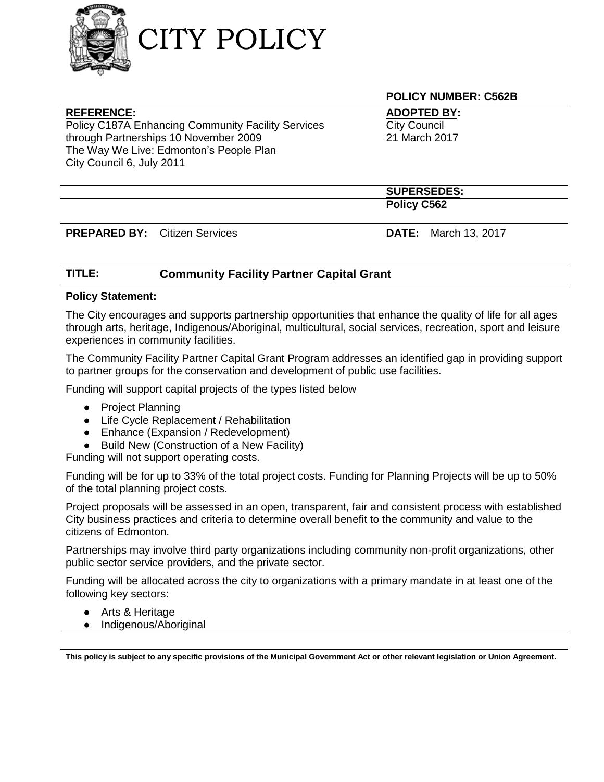

## **REFERENCE:**

Policy C187A Enhancing Community Facility Services through Partnerships 10 November 2009 The Way We Live: Edmonton's People Plan City Council 6, July 2011

**POLICY NUMBER: C562B**

**ADOPTED BY: City Council** 21 March 2017

**SUPERSEDES: Policy C562**

**PREPARED BY:** Citizen Services **DATE:** March 13, 2017

# **TITLE: Community Facility Partner Capital Grant**

### **Policy Statement:**

The City encourages and supports partnership opportunities that enhance the quality of life for all ages through arts, heritage, Indigenous/Aboriginal, multicultural, social services, recreation, sport and leisure experiences in community facilities.

The Community Facility Partner Capital Grant Program addresses an identified gap in providing support to partner groups for the conservation and development of public use facilities.

Funding will support capital projects of the types listed below

- Project Planning
- Life Cycle Replacement / Rehabilitation
- Enhance (Expansion / Redevelopment)
- Build New (Construction of a New Facility)

Funding will not support operating costs.

Funding will be for up to 33% of the total project costs. Funding for Planning Projects will be up to 50% of the total planning project costs.

Project proposals will be assessed in an open, transparent, fair and consistent process with established City business practices and criteria to determine overall benefit to the community and value to the citizens of Edmonton.

Partnerships may involve third party organizations including community non-profit organizations, other public sector service providers, and the private sector.

Funding will be allocated across the city to organizations with a primary mandate in at least one of the following key sectors:

- Arts & Heritage
- Indigenous/Aboriginal

**This policy is subject to any specific provisions of the Municipal Government Act or other relevant legislation or Union Agreement.**